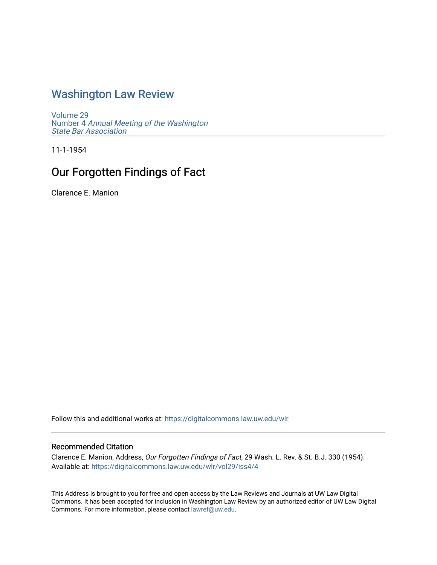## [Washington Law Review](https://digitalcommons.law.uw.edu/wlr)

[Volume 29](https://digitalcommons.law.uw.edu/wlr/vol29) Number 4 [Annual Meeting of the Washington](https://digitalcommons.law.uw.edu/wlr/vol29/iss4) [State Bar Association](https://digitalcommons.law.uw.edu/wlr/vol29/iss4)

11-1-1954

# Our Forgotten Findings of Fact

Clarence E. Manion

Follow this and additional works at: [https://digitalcommons.law.uw.edu/wlr](https://digitalcommons.law.uw.edu/wlr?utm_source=digitalcommons.law.uw.edu%2Fwlr%2Fvol29%2Fiss4%2F4&utm_medium=PDF&utm_campaign=PDFCoverPages)

### Recommended Citation

Clarence E. Manion, Address, Our Forgotten Findings of Fact, 29 Wash. L. Rev. & St. B.J. 330 (1954). Available at: [https://digitalcommons.law.uw.edu/wlr/vol29/iss4/4](https://digitalcommons.law.uw.edu/wlr/vol29/iss4/4?utm_source=digitalcommons.law.uw.edu%2Fwlr%2Fvol29%2Fiss4%2F4&utm_medium=PDF&utm_campaign=PDFCoverPages)

This Address is brought to you for free and open access by the Law Reviews and Journals at UW Law Digital Commons. It has been accepted for inclusion in Washington Law Review by an authorized editor of UW Law Digital Commons. For more information, please contact [lawref@uw.edu](mailto:lawref@uw.edu).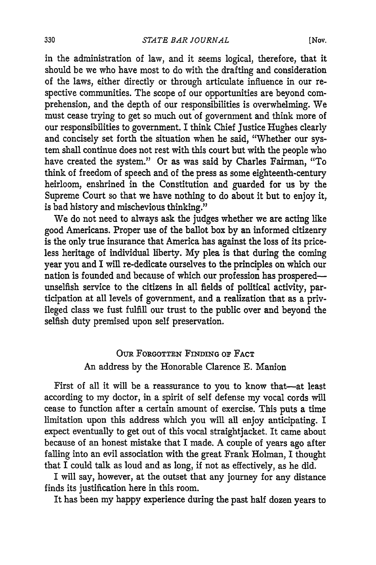in the administration of law, and it seems logical, therefore, that it should be we who have most to do with the drafting and consideration of the laws, either directly or through articulate influence in our respective communities. The scope of our opportunities are beyond comprehension, and the depth of our responsibilities is overwhelming. We must cease trying to get so much out of government and think more of our responsibilities to government. I think Chief Justice Hughes clearly and concisely set forth the situation when he said, "Whether our system shall continue does not rest with this court but with the people who have created the system." Or as was said by Charles Fairman, "To think of freedom of speech and of the press as some eighteenth-century heirloom, enshrined in the Constitution and guarded for us by the Supreme Court so that we have nothing to do about it but to enjoy it, is bad history and mischevious thinking."

We do not need to always ask the judges whether we are acting like good Americans. Proper use of the ballot box by an informed citizenry is the only true insurance that America has against the loss of its priceless heritage of individual liberty. My plea is that during the coming year you and I will re-dedicate ourselves to the principles on which our nation is founded and because of which our profession has prosperedunselfish service to the citizens in all fields of political activity, participation at all levels of government, and a realization that as a privileged class we fust fulfill our trust to the public over and beyond the selfish duty premised upon self preservation.

## OuR FORGOTTEN FINDING OF FACT An address by the Honorable Clarence E. Manion

First of all it will be a reassurance to you to know that-at least according to my doctor, in a spirit of self defense my vocal cords will cease to function after a certain amount of exercise. This puts a time limitation upon this address which you will all enjoy anticipating. I expect eventually to get out of this vocal straightjacket. It came about because of an honest mistake that I made. A couple of years ago after falling into an evil association with the great Frank Holman, I thought that I could talk as loud and as long, if not as effectively, as he did.

I will say, however, at the outset that any journey for any distance finds its justification here in this room.

It has been my happy experience during the past half dozen years to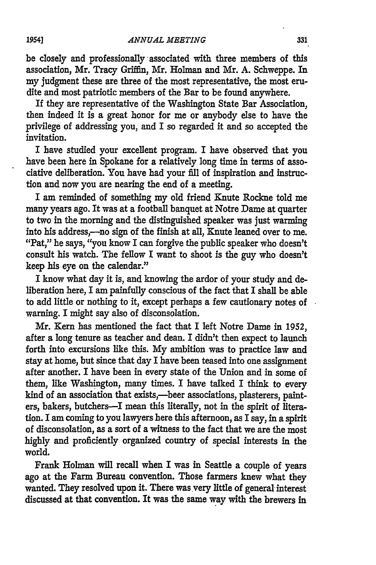be closely and professionally associated with three members of this association, Mr. Tracy Griffin, Mr. Holman and Mr. **A.** Schweppe. In my judgment these are three of the most representative, the most erudite and most patriotic members of the Bar to be found anywhere.

If they are representative of the Washington State Bar Association, then indeed it is a great honor for me or anybody else to have the privilege of addressing you, and I so regarded it and so accepted the invitation.

I have studied your excellent program. I have observed that you have been here in Spokane for a relatively long time in terms of associative deliberation. You have had your fill of inspiration and instruction and now you are nearing the end of a meeting.

I am reminded of something my old friend Knute Rockne told me many years ago. It was at a football banquet at Notre Dame at quarter to two in the morning and the distinguished speaker was just warming into his address,---no sign of the finish at all, Knute leaned over to me. "Pat," he says, "you know I can forgive the public speaker who doesn't consult his watch. The fellow I want to shoot is the guy who doesn't keep his eye on the calendar."

I know what day it is, and knowing the ardor of your study and deliberation here, I am painfully conscious of the fact that I shall be able to add little or nothing to it, except perhaps a few cautionary notes of warning. I might say also of disconsolation.

Mr. Kern has mentioned the fact that I left Notre Dame in **1952,** after a long tenure as teacher and dean. I didn't then expect to launch forth into excursions like this. **My** ambition was to practice law and stay at home, but since that day I have been teased into one assignment after another. I have been in every state of the Union and in some of them, like Washington, many times. I have talked I think to every kind of an association that exists,--beer associations, plasterers, painters, bakers, butchers-I mean this literally, not in the spirit of literation. I am coming to you lawyers here this afternoon, as I say, in a spirit of disconsolation, as a sort of a witness to the fact that we are the most highly and proficiently organized country of special interests in the world.

Frank Holman will recall when I was in Seattle a couple of years ago at the Farm Bureau convention. Those farmers knew what they wanted. They resolved upon it. There was very little of general interest discussed at that convention. It was the same way with the brewers in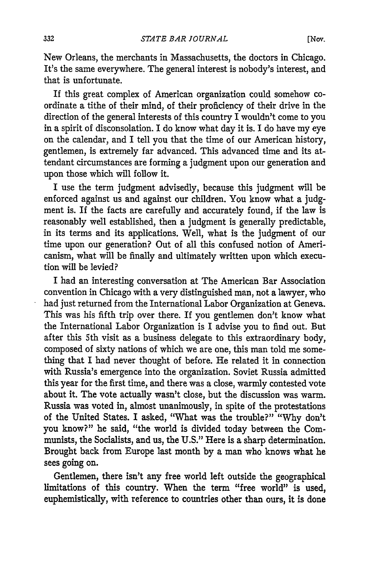New Orleans, the merchants in Massachusetts, the doctors in Chicago. It's the same everywhere. The general interest is nobody's interest, and that is unfortunate.

If this great complex of American organization could somehow coordinate a tithe of their mind, of their proficiency of their drive in the direction of the general interests of this country I wouldn't come to you in a spirit of disconsolation. I do know what day it is. I do have my eye on the calendar, and I tell you that the time of our American history, gentlemen, is extremely far advanced. This advanced time and its attendant circumstances are forming a judgment upon our generation and upon those which will follow it.

I use the term judgment advisedly, because this judgment will be enforced against us and against our children. You know what a judgment is. If the facts are carefully and accurately found, if the law is reasonably well established, then a judgment is generally predictable, in its terms and its applications. Well, what is the judgment of our time upon our generation? Out of all this confused notion of Americanism, what will be finally and ultimately written upon which execution will be levied?

I had an interesting conversation at The American Bar Association convention in Chicago with a very distinguished man, not a lawyer, who had just returned from the International Labor Organization at Geneva. This was his fifth trip over there. If you gentlemen don't know what the International Labor Organization is I advise you to find out. But after this 5th visit as a business delegate to this extraordinary body, composed of sixty nations of which we are one, this man told me something that I had never thought of before. He related it in connection with Russia's emergence into the organization. Soviet Russia admitted this year for the first time, and there was a close, warmly contested vote about it. The vote actually wasn't close, but the discussion was warm. Russia was voted in, almost unanimously, in spite of the protestations of the United States. I asked, "What was the trouble?" "Why don't you know?" he said, "the world is divided today between the Communists, the Socialists, and us, the U.S." Here is a sharp determination. Brought back from Europe last month by a man who knows what he sees going on.

Gentlemen, there isn't any free world left outside the geographical limitations of this country. When the term "free world" is used, euphemistically, with reference to countries other than ours, it is done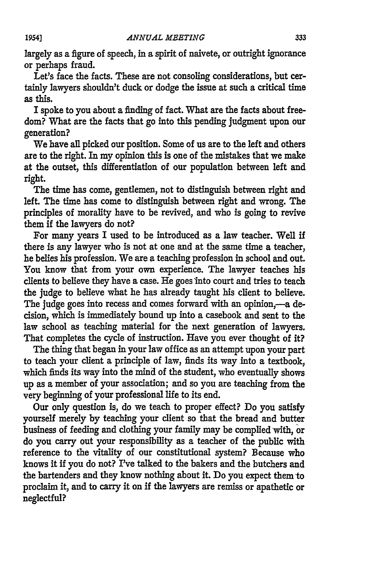largely as a figure of speech, in a spirit of naivete, or outright ignorance or perhaps fraud.

Let's face the facts. These are not consoling considerations, but certainly lawyers shouldn't duck or dodge the issue at such a critical time as this.

I spoke to you about a finding of fact. What are the facts about freedom? What are the facts that go into this pending judgment upon our generation?

We have all picked our position. Some of us are to the left and others are to the right. In my opinion this is one of the mistakes that we make at the outset, this differentiation of our population between left and right.

The time has come, gentlemen, not to distinguish between right and left. The time has come to distinguish between right and wrong. The principles of morality have to be revived, and who is going to revive them if the lawyers do not?

For many years I used to be introduced as a law teacher. Well if there is any lawyer who is not at one and at the same time a teacher, he belies his profession. We are a teaching profession in school and out. You know that from your own experience. The lawyer teaches his clients to believe they have a case. He goes into court and tries to teach the judge to believe what he has already taught his client to believe. The judge goes into recess and comes forward with an opinion,-a decision, which is immediately bound up into a casebook and sent to the law school as teaching material for the next generation of lawyers. That completes the cycle of instruction. Have you ever thought of it?

The thing that began in your law office as an attempt upon your part to teach your client a principle of law, finds its way into a textbook, which finds its way into the mind of the student, who eventually shows up as a member of your association; and so you are teaching from the very beginning of your professional life to its end.

Our only question is, do we teach to proper effect? Do you satisfy yourself merely by teaching your client so that the bread and butter business of feeding and clothing your family may be complied with, or do you carry out your responsibility as a teacher of the public with reference to the vitality of our constitutional system? Because who knows it if you do not? I've talked to the bakers and the butchers and the bartenders and they know nothing about it. Do you expect them to proclaim it, and to carry it on if the lawyers are remiss or apathetic or neglectful?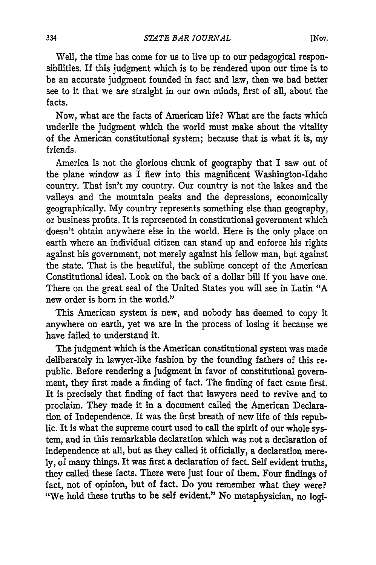[Nov.

Well, the time has come for us to live up to our pedagogical responsibilities. If this judgment which is to be rendered upon our time is to be an accurate judgment founded in fact and law, then we had better see to it that we are straight in our own minds, first of all, about the facts.

Now, what are the facts of American life? What are the facts which underlie the judgment which the world must make about the vitality of the American constitutional system; because that is what it is, my friends.

America is not the glorious chunk of geography that I saw out of the plane window as I flew into this magnificent Washington-Idaho country. That isn't my country. Our country is not the lakes and the valleys and the mountain peaks and the depressions, economically geographically. My country represents something else than geography, or business profits. It is represented in constitutional government which doesn't obtain anywhere else in the world. Here is the only place on earth where an individual citizen can stand up and enforce his rights against his government, not merely against his fellow man, but against the state. That is the beautiful, the sublime concept of the American Constitutional ideal. Look on the back of a dollar bill if you have one. There on the great seal of the United States you will see in Latin "A new order is born in the world."

This American system is new, and nobody has deemed to copy it anywhere on earth, yet we are in the process of losing it because we have failed to understand it.

The judgment which is the American constitutional system was made deliberately in lawyer-like fashion by the founding fathers of this republic. Before rendering a judgment in favor of constitutional government, they first made a finding of fact. The finding of fact came first. It is precisely that finding of fact that lawyers need to revive and to proclaim. They made it in a document called the American Declaration of Independence. It was the first breath of new life of this republic. It is what the supreme court used to call the spirit of our whole system, and in this remarkable declaration which was not a declaration of independence at all, but as they called it officially, a declaration mere**ly,** of many things. It was first a declaration of fact. Self evident truths, they called these facts. There were just four of them. Four findings of fact, not of opinion, but of fact. Do you remember what they were? "We hold these truths to be self evident." No metaphysician, no logi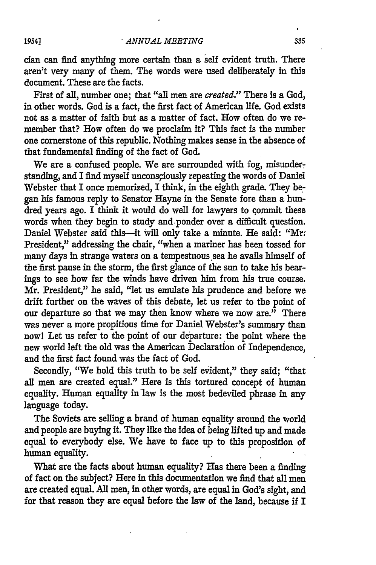cian can find anything more certain than a self evident truth. There aren't very many of them. The words were used deliberately in this document. These are the facts.

First of all, number one; that "all men are *created."* There is a God, in other words. God is a fact, the first fact of American life. God exists not as a matter of faith but as a matter of fact. How often do we remember that? How often do we proclaim it? This fact is the number one cornerstone of this republic. Nothing makes sense in the absence of that fundamental finding of the fact of God.

We are a confused people. We are surrounded with fog, misunderstanding, and I find myself unconsciously repeating the words of Daniel Webster that I once memorized, I think, in the eighth grade. They began his famous reply to Senator Hayne in the Senate fore than a hundred years ago. I think it would do well for lawyers to commit these words when they begin to study and-ponder over a difficult question. Daniel Webster said this-it will only take a minute. He said: "Mr. President," addressing the chair, "when a mariner has been tossed for many days in strange waters on a tempestuous sea he avails himself of the first pause in the storm, the first glance of the sun to take his bearings to see how far the winds have driven him from his true course. Mr. President," he said, "let us emulate his prudence and before we drift further on the waves of this debate, let us refer to the point of our departure so that we may then know where we now are." There was never a more propitious time for Daniel Webster's summary than nowl Let us refer to the point of our departure: the point where the new world left the old was the American Declaration of Independence, and the first fact found was the fact of God.

Secondly, "We hold this truth to be self evident," they said; "that all men are created equal." Here is this tortured concept of human equality. Human equality in'law is the most bedeviled phrase in any language today.

The Soviets are selling a brand of human equality around the world and people are buying it. They like the idea of being lifted up and made equal to everybody else. We have to face up to this proposition of human equality.

What are the facts about human equality? Has there been a finding of fact on the subject? Here in this documentation we find that all men are created equal. **All** men, in other words, are equal in God's sight, and for that reason they are equal before the law of the land, because if I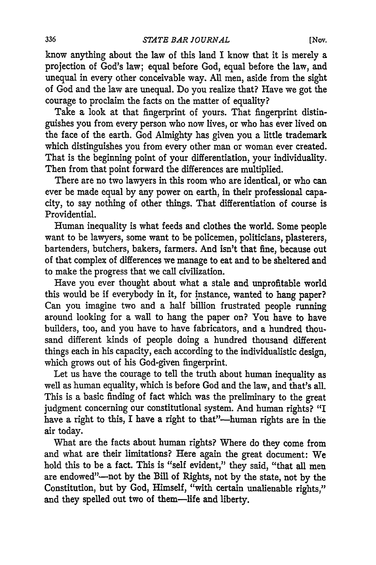know anything about the law of this land I know that it is merely a projection of God's law; equal before God, equal before the law, and unequal in every other conceivable way. All men, aside from the sight of God and the law are unequal. Do you realize that? Have we got the courage to proclaim the facts on the matter of equality?

Take a look at that fingerprint of yours. That fingerprint distinguishes you from every person who now lives, or who has ever lived on the face of the earth. God Almighty has given you a little trademark which distinguishes you from every other man or woman ever created. That is the beginning point of your differentiation, your individuality. Then from that point forward the differences are multiplied.

There are no two lawyers in this room who are identical, or who can ever be made equal by any power on earth, in their professional capacity, to say nothing of other things. That differentiation of course is Providential.

Human inequality is what feeds and clothes the world. Some people want to be lawyers, some want to be policemen, politicians, plasterers, bartenders, butchers, bakers, farmers. And isn't that fine, because out of that complex of differences we manage to eat and to be sheltered and to make the progress that we call civilization.

Have you ever thought about what a stale and unprofitable world this would be if everybody in it, for instance, wanted to hang paper? Can you imagine two and a half billion frustrated people running around looking for a wall to hang the paper on? You have to have builders, too, and you have to have fabricators, and a hundred thousand different kinds of people doing a hundred thousand different things each in his capacity, each according to the individualistic design, which grows out of his God-given fingerprint.

Let us have the courage to tell the truth about human inequality as well as human equality, which is before God and the law, and that's all. This is a basic finding of fact which was the preliminary to the great judgment concerning our constitutional system. And human rights? "I have a right to this, I have a right to that"-human rights are in the air today.

What are the facts about human rights? Where do they come from and what are their limitations? Here again the great document: We hold this to be a fact. This is "self evident," they said, "that all men are endowed"-not by the Bill of Rights, not by the state, not by the Constitution, but by God, Himself, "with certain unalienable rights," and they spelled out two of them-life and liberty.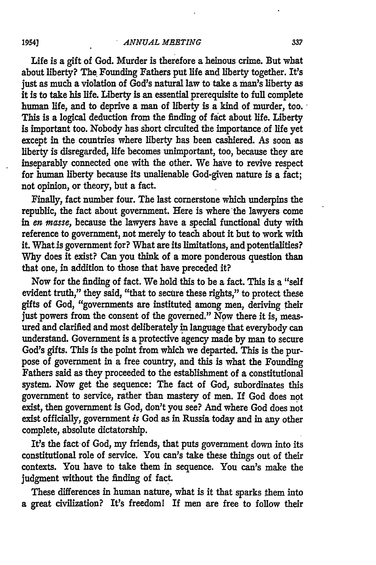#### *ANNUAL MEETING*

Life is a gift of God. Murder is therefore a heinous crime. But what about liberty? The Founding Fathers put life and liberty together. It's just as much a violation of God's natural law to take a man's liberty as it is to take his life. Liberty is an essential prerequisite to **full** complete human life, and to deprive a man of liberty is a kind of murder, too. This is a logical deduction from the finding of fact about life. Liberty is important too. Nobody has short circuited the importance of life yet except in the countries where liberty has been cashiered. As soon as liberty is disregarded, life becomes unimportant, too, because they are inseparably connected one with the other. We have to revive respect for human liberty because its unalienable God-given nature is a fact; not opinion, or theory, but a fact.

Finally, fact number four. The last cornerstone which underpins the republic, the fact about government. Here is where the lawyers come in *en masse,* because the lawyers have a special functional duty with reference to government, not merely to teach about it but to work with it. What is government for? What are its limitations, and potentialities? **Why** does it exist? Can you think of a more ponderous question than that one, in addition to those that have preceded it?

Now for the finding of fact. We hold this to be a fact. This is a "self evident truth," they said, "that to secure these rights," to protect these gifts of God, "governments are instituted among men, deriving their just powers from the consent of the governed." Now there it is, measured and clarified and most deliberately in language that everybody can understand. Government is a protective agency made **by** man to secure God's gifts. This is the point from which we departed. This is the purpose of government in a free country, and this is what the Founding Fathers said as they proceeded to the establishment of a constitutional system. Now get the sequence: The fact of God, subordinates this government to service, rather than mastery of men. If God does not exist, then government is God, don't you see? And where God does not exist officially, government *is* God as in Russia today and in any other complete, absolute dictatorship.

It's the fact of God, my friends, that puts government down into its constitutional role of service. You can's take these things out of their contexts. You have to take them in sequence. You can's make the judgment without the finding of fact.

These differences in human nature, what is it that sparks them into a great civilization? It's freedom! If men are free to follow their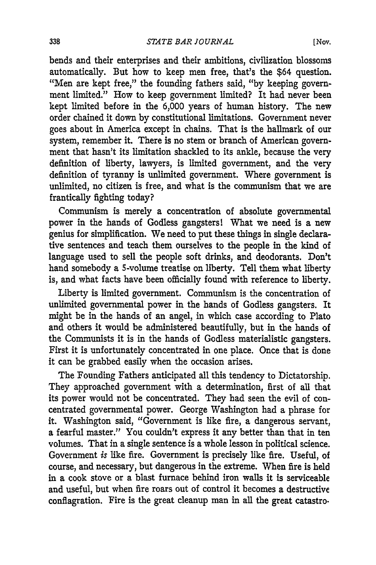bends and their enterprises and their ambitions, civilization blossoms automatically. But how to keep men free, that's the \$64 question. "Men are kept free," the founding fathers said, **"by** keeping government limited." How to keep government limited? It had never been kept limited before in the 6,000 years of human history. The new order chained it down by constitutional limitations. Government never goes about in America except in chains. That is the hallmark of our system, remember it. There is no stem or branch of American government that hasn't its limitation shackled to its ankle, because the very definition of liberty, lawyers, is limited government, and the very definition of tyranny is unlimited government. Where government is unlimited, no citizen is free, and what is the communism that we are frantically fighting today?

Communism is merely a concentration of absolute governmental power in the hands of Godless gangsters! What we need is a new genius for simplification. We need to put these things in single declarative sentences and teach them ourselves to the people in the kind of language used to sell the people soft drinks, and deodorants. Don't hand somebody a 5-volume treatise on liberty. Tell them what liberty is, and what facts have been officially found with reference to liberty.

Liberty is limited government. Communism is the concentration of unlimited governmental power in the hands of Godless gangsters. It might be in the hands of an angel, in which case according to Plato and others it would be administered beautifully, but in the hands of the Communists it is in the hands of Godless materialistic gangsters. First it is unfortunately concentrated in one place. Once that is done it can be grabbed easily when the occasion arises.

The Founding Fathers anticipated all this tendency to Dictatorship. They approached government with a determination, first of all that its power would not be concentrated. They had seen the evil of concentrated governmental power. George Washington had a phrase for it. Washington said, "Government is like fire, a dangerous servant, a fearful master." You couldn't express it any better than that in ten volumes. That in a single sentence is a whole lesson in political science. Government *is* like fire. Government is precisely like fire. Useful, of course, and necessary, but dangerous in the extreme. When fire is held in a cook stove or a blast furnace behind iron walls it is serviceable and useful, but when fire roars out of control it becomes a destructive conflagration. Fire is the great cleanup man in all the great catastro.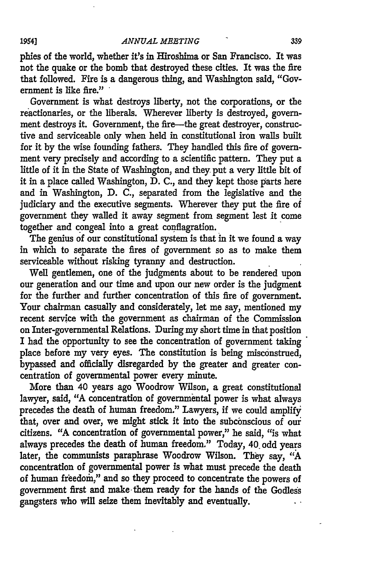### *ANNUAL MEETING*

phies of the world, whether it's in Hiroshima or San Francisco. It was not the quake or the bomb that destroyed these cities. It was the fire that followed. Fire is a dangerous thing, and Washington said, "Government is like fire."

Government is what destroys liberty, not the corporations, or the reactionaries, or the liberals. Wherever liberty is destroyed, government destroys it. Government, the fire-the great destroyer, constructive and serviceable only when held in constitutional iron walls built for it **by** the wise founding fathers. They handled this fire of government very precisely and according to a scientific pattern. They put a little of it in the State of Washington, and they. put a very little bit of it in a place called Washington,  $\check{D}$ . C., and they kept those parts here and in Washington, **D.** C., separated from the legislative and the judiciary and the executive segments. Wherever they put the fire of government they walled it away segment from segment lest it come together and congeal into a great conflagration.

The genius of our constitutional system is that in it we found a way in which to separate the fires of government so as to make them serviceable without risking tyranny and destruction.

Well gentlemen, one of the judgments about to be rendered upon our generation and our time and upon our new order is the judgment for the further and further concentration of this fire of government. Your chairman casually and considerately, let me say, mentioned my recent service with the government as chairman of the Commission on Inter-governmental Relations. During my short time in that position I had the opportunity to see the concentration of government taking place before my very eyes. The constitution is being misconstrued, bypassed and officially disregarded by the greater and greater concentration of governmental power every minute.

More than 40 years ago Woodrow Wilson, a great constitutional lawyer, said, "A concentration of governmental power is what always precedes the death of human freedom." Lawyers, if we could amplify that, over and over, we might stick it into the subconscious of our citizens. "A concentration of governmental power," he said, "is what always precedes the death of human freedom." Today, 40. odd years later, the communists paraphrase Woodrow Wilson. They say, *"A* concentration of governmental power is what must precede the death of human freedom," and so they proceed to concentrate the powers of government first and make them ready for the hands of the Godless gangsters who will seize them inevitably and eventually.

### **19541**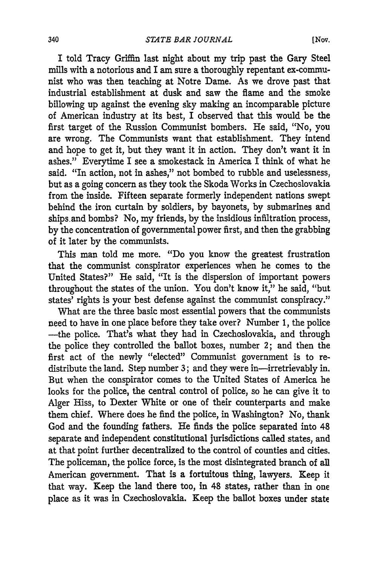I told Tracy Griffin last night about my trip past the Gary Steel mills with a notorious and I am sure a thoroughly repentant ex-communist who was then teaching at Notre Dame. As we drove past that industrial establishment at dusk and saw the flame and the smoke billowing up against the evening sky making an incomparable picture of American industry at its best, I observed that this would be the first target of the Russion Communist bombers. He said, "No, you are wrong. The Communists want that establishment. They intend and hope to get it, but they want it in action. They don't want it in ashes." Everytime I see a smokestack in America I think of what he said. "In action, not in ashes," not bombed to rubble and uselessness, but as a going concern as they took the Skoda Works in Czechoslovakia from the inside. Fifteen separate formerly independent nations swept behind the iron curtain by soldiers, by bayonets, by submarines and ships and bombs? No, my friends, by the insidious infiltration process, by the concentration of governmental power first, and then the grabbing of it later by the communists.

This man told me more. "Do you know the greatest frustration that the communist conspirator experiences when he comes to the United States?" He said, "It is the dispersion of important powers throughout the states of the union. You don't know it," he said, "but states' rights is your best defense against the communist conspiracy."

What are the three basic most essential powers that the communists need to have in one place before they take over? Number 1, the police -the police. That's what they had in Czechoslovakia, and through the police they controlled the ballot boxes, number 2; and then the first act of the newly "elected" Communist government is to redistribute the land. Step number 3; and they were in-irretrievably in. But when the conspirator comes to the United States of America he looks for the police, the central control of police, so he can give it to Alger Hiss, to Dexter White or one of their counterparts and make them chief. Where does he find the police, in Washington? No, thank God and the founding fathers. He finds the police separated into 48 separate and independent constitutional jurisdictions called states, and at that point further decentralized to the control of counties and cities. The policeman, the police force, is the most disintegrated branch of all American government. That is a fortuitous thing, lawyers. Keep it that way. Keep the land there too, in 48 states, rather than in one place as it was in Czechoslovakia. Keep the ballot boxes under state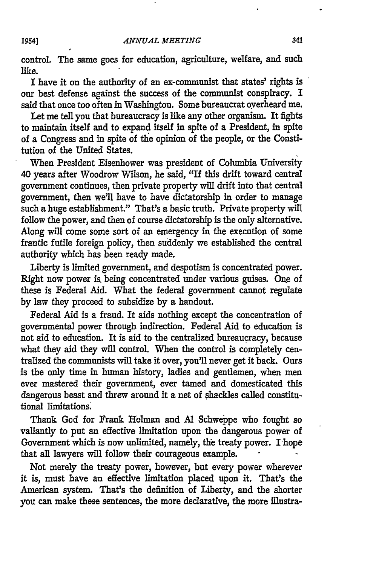control. The same goes for education, agriculture, welfare, and such like.

I have it on the authority of an ex-communist that states' rights is our best defense against the success of the communist conspiracy. I said that once too often in Washington. Some bureaucrat overheard me.

Let me tell you that bureaucracy is like any other organism. It fights to maintain itself and to expand itself in spite of a President, in spite of a Congress and in spite of the opinion of the people, or the Constitution of the United States.

When President Eisenhower was president of Columbia University 40 years after Woodrow Wilson, he said, "If this drift toward central government continues, then private property will drift into that central government, then we'll have to have dictatorship in order to manage such a huge establishment." That's a basic truth. Private property will follow the power, and then of course dictatorship is the only alternative. Along will come some sort of an emergency in the execution of some frantic futile foreign policy, then suddenly we established the central authority which has been ready made.

Liberty is limited government, and despotism is concentrated power. Right now power **is** being concentrated under various guises. One of these is Federal Aid. What the federal government cannot regulate by law they proceed to subsidize by a handout.

Federal Aid is a fraud. It aids nothing except the concentration of governmental power through indirection. Federal Aid to education is not aid to education. It is aid to the centralized bureaucracy, because what they aid they will control. When the control is completely centralized the communists will take it over, you'll never get it back. Ours is the only time in human history, ladies and gentlemen, when men ever mastered their government, ever tamed and domesticated this dangerous beast and threw around it a net of shackles called constitutional limitations.

Thank God for Frank Holman and Al Schweppe who fought so valiantly to put an effective limitation upon the dangerous power of Government which is now unlimited, namely, the treaty power. I hope that all lawyers will follow their courageous example.

Not merely the treaty power, however, but every power wherever it is, must have an effective limitation placed upon it. That's the American system. That's the definition of Liberty, and the shorter you can make these sentences, the more declarative, the more illustra-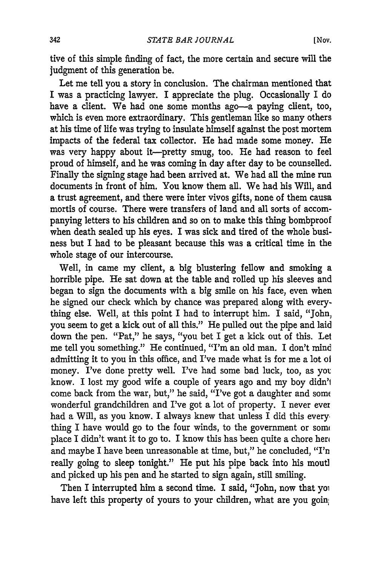tive of this simple finding of fact, the more certain and secure will the judgment of this generation be.

Let me tell you a story in conclusion. The chairman mentioned that I was a practicing lawyer. I appreciate the plug. Occasionally I do have a client. We had one some months ago-a paying client, too, which is even more extraordinary. This gentleman like so many others at his time of life was trying to insulate himself against the post mortem impacts of the federal tax collector. He had made some money. He was very happy about it-pretty smug, too. He had reason to feel proud of himself, and he was coming in day after day to be counselled. Finally the signing stage had been arrived at. We had all the mine run documents in front of him. You know them all. We had his Will, and a trust agreement, and there were inter vivos gifts, none of them causa mortis of course. There were transfers of land and all sorts of accompanying letters to his children and so on to make this thing bombproof when death sealed up his eyes. I was sick and tired of the whole business but I had to be pleasant because this was a critical time in the whole stage of our intercourse.

Well, in came my client, a big blustering fellow and smoking a horrible pipe. He sat down at the table and rolled up his sleeves and began to sign the documents with a big smile on his face, even when he signed our check which by chance was prepared along with everything else. Well, at this point I had to interrupt him. I said, "John, you seem to get a kick out of all this." He pulled out the pipe and laid down the pen. "Pat," he says, "you bet I get a kick out of this. Let me tell you something." He continued, "I'm an old man. I don't mind admitting it to you in this office, and I've made what is for me a lot oi money. I've done pretty well. I've had some bad luck, too, as yot know. I lost my good wife a couple of years ago and my boy didn'l come back from the war, but," he said, "I've got a daughter and som wonderful grandchildren and I've got a lot of property. I never ever had a Will, as you know. I always knew that unless I did this every. thing I have would go to the four winds, to the government or some place I didn't want it to go to. I know this has been quite a chore hero and maybe I have been unreasonable at time, but," he concluded, "I'n really going to sleep tonight." He put his pipe back into his moutl and picked up his pen and he started to sign again, still smiling.

Then I interrupted him a second time. I said, "John, now that yoi have left this property of yours to your children, what are you goin!